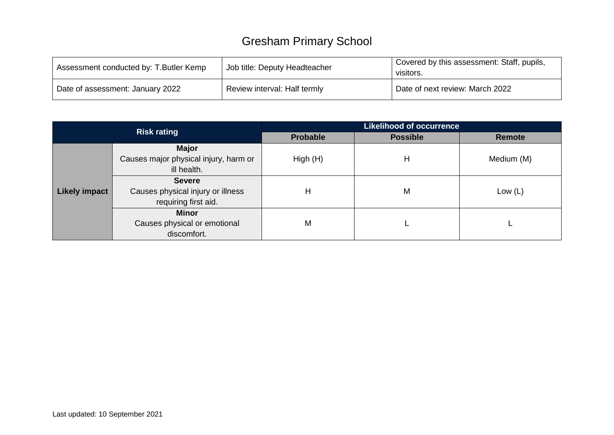## Gresham Primary School

| Assessment conducted by: T. Butler Kemp | Job title: Deputy Headteacher | Covered by this assessment: Staff, pupils,<br>visitors. |  |  |
|-----------------------------------------|-------------------------------|---------------------------------------------------------|--|--|
| Date of assessment: January 2022        | Review interval: Half termly  | Date of next review: March 2022                         |  |  |

|                      | <b>Risk rating</b>                                                         | <b>Likelihood of occurrence</b> |                 |               |  |  |  |
|----------------------|----------------------------------------------------------------------------|---------------------------------|-----------------|---------------|--|--|--|
|                      |                                                                            | <b>Probable</b>                 | <b>Possible</b> | <b>Remote</b> |  |  |  |
|                      | <b>Major</b><br>Causes major physical injury, harm or<br>ill health.       | High(H)                         | Н               | Medium (M)    |  |  |  |
| <b>Likely impact</b> | <b>Severe</b><br>Causes physical injury or illness<br>requiring first aid. | Н                               | M               | Low $(L)$     |  |  |  |
|                      | <b>Minor</b><br>Causes physical or emotional<br>discomfort.                | M                               |                 |               |  |  |  |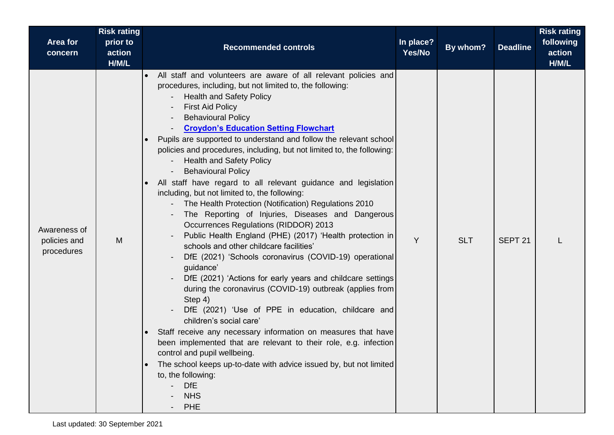|                                            | <b>Risk rating</b>          |                                                                                                                                                                                                                                                                                                                                                                                                                                                                                                                                                                                                                                                                                                                                                                                                                                                                                                                                                                                                                                                                                                                                                                                                                                                                                                                                                                                                                                                                                                     |                     |            |                    | <b>Risk rating</b>           |
|--------------------------------------------|-----------------------------|-----------------------------------------------------------------------------------------------------------------------------------------------------------------------------------------------------------------------------------------------------------------------------------------------------------------------------------------------------------------------------------------------------------------------------------------------------------------------------------------------------------------------------------------------------------------------------------------------------------------------------------------------------------------------------------------------------------------------------------------------------------------------------------------------------------------------------------------------------------------------------------------------------------------------------------------------------------------------------------------------------------------------------------------------------------------------------------------------------------------------------------------------------------------------------------------------------------------------------------------------------------------------------------------------------------------------------------------------------------------------------------------------------------------------------------------------------------------------------------------------------|---------------------|------------|--------------------|------------------------------|
| Area for<br>concern                        | prior to<br>action<br>H/M/L | <b>Recommended controls</b>                                                                                                                                                                                                                                                                                                                                                                                                                                                                                                                                                                                                                                                                                                                                                                                                                                                                                                                                                                                                                                                                                                                                                                                                                                                                                                                                                                                                                                                                         | In place?<br>Yes/No | By whom?   | <b>Deadline</b>    | following<br>action<br>H/M/L |
| Awareness of<br>policies and<br>procedures | M                           | All staff and volunteers are aware of all relevant policies and<br>procedures, including, but not limited to, the following:<br><b>Health and Safety Policy</b><br><b>First Aid Policy</b><br><b>Behavioural Policy</b><br><b>Croydon's Education Setting Flowchart</b><br>Pupils are supported to understand and follow the relevant school<br>policies and procedures, including, but not limited to, the following:<br><b>Health and Safety Policy</b><br><b>Behavioural Policy</b><br>All staff have regard to all relevant guidance and legislation<br>including, but not limited to, the following:<br>The Health Protection (Notification) Regulations 2010<br>The Reporting of Injuries, Diseases and Dangerous<br><b>Occurrences Regulations (RIDDOR) 2013</b><br>Public Health England (PHE) (2017) 'Health protection in<br>schools and other childcare facilities'<br>DfE (2021) 'Schools coronavirus (COVID-19) operational<br>guidance'<br>DfE (2021) 'Actions for early years and childcare settings<br>during the coronavirus (COVID-19) outbreak (applies from<br>Step 4)<br>DfE (2021) 'Use of PPE in education, childcare and<br>children's social care'<br>Staff receive any necessary information on measures that have<br>$\bullet$<br>been implemented that are relevant to their role, e.g. infection<br>control and pupil wellbeing.<br>The school keeps up-to-date with advice issued by, but not limited<br>to, the following:<br><b>DfE</b><br><b>NHS</b><br><b>PHE</b> | Y                   | <b>SLT</b> | SEPT <sub>21</sub> |                              |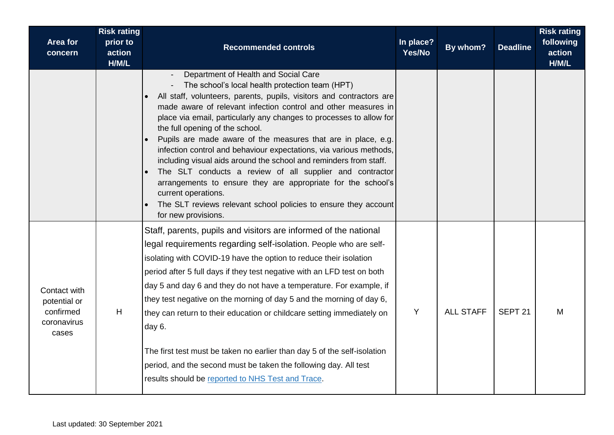| Area for<br>concern                                               | <b>Risk rating</b><br>prior to<br>action<br>H/M/L | <b>Recommended controls</b>                                                                                                                                                                                                                                                                                                                                                                                                                                                                                                                                                                                                                                                                                                                                                                          | In place?<br>Yes/No | By whom?         | <b>Deadline</b>    | <b>Risk rating</b><br>following<br>action<br>H/M/L |
|-------------------------------------------------------------------|---------------------------------------------------|------------------------------------------------------------------------------------------------------------------------------------------------------------------------------------------------------------------------------------------------------------------------------------------------------------------------------------------------------------------------------------------------------------------------------------------------------------------------------------------------------------------------------------------------------------------------------------------------------------------------------------------------------------------------------------------------------------------------------------------------------------------------------------------------------|---------------------|------------------|--------------------|----------------------------------------------------|
|                                                                   |                                                   | Department of Health and Social Care<br>The school's local health protection team (HPT)<br>All staff, volunteers, parents, pupils, visitors and contractors are<br>made aware of relevant infection control and other measures in<br>place via email, particularly any changes to processes to allow for<br>the full opening of the school.<br>Pupils are made aware of the measures that are in place, e.g.<br>infection control and behaviour expectations, via various methods,<br>including visual aids around the school and reminders from staff.<br>The SLT conducts a review of all supplier and contractor<br>arrangements to ensure they are appropriate for the school's<br>current operations.<br>The SLT reviews relevant school policies to ensure they account<br>for new provisions. |                     |                  |                    |                                                    |
| Contact with<br>potential or<br>confirmed<br>coronavirus<br>cases | H                                                 | Staff, parents, pupils and visitors are informed of the national<br>legal requirements regarding self-isolation. People who are self-<br>isolating with COVID-19 have the option to reduce their isolation<br>period after 5 full days if they test negative with an LFD test on both<br>day 5 and day 6 and they do not have a temperature. For example, if<br>they test negative on the morning of day 5 and the morning of day 6,<br>they can return to their education or childcare setting immediately on<br>day 6.<br>The first test must be taken no earlier than day 5 of the self-isolation<br>period, and the second must be taken the following day. All test<br>results should be reported to NHS Test and Trace.                                                                        | Y                   | <b>ALL STAFF</b> | SEPT <sub>21</sub> | M                                                  |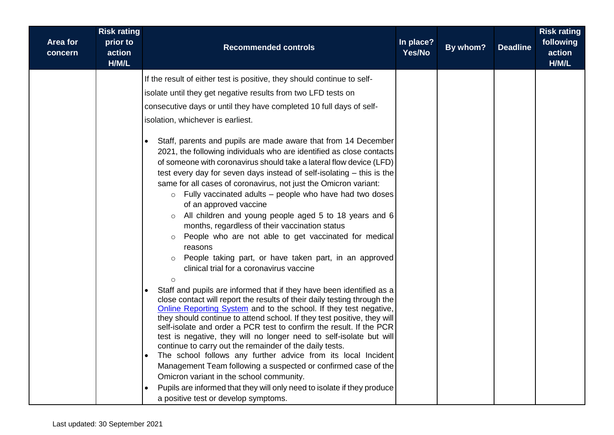| Area for<br>concern | <b>Risk rating</b><br>prior to<br>action<br>H/M/L | <b>Recommended controls</b>                                                                                                                                                                                                                                                                                                                                                                                                                                                                                                                                                                                                                                                                                                                                                                                                                                                                                                                                                                                                                                                                                                                                                                                                                                                                                                                                                                                                                                                                                                                                                                                                                                                                                                                                                                                   | In place?<br>Yes/No | By whom? | <b>Deadline</b> | <b>Risk rating</b><br>following<br>action<br>H/M/L |
|---------------------|---------------------------------------------------|---------------------------------------------------------------------------------------------------------------------------------------------------------------------------------------------------------------------------------------------------------------------------------------------------------------------------------------------------------------------------------------------------------------------------------------------------------------------------------------------------------------------------------------------------------------------------------------------------------------------------------------------------------------------------------------------------------------------------------------------------------------------------------------------------------------------------------------------------------------------------------------------------------------------------------------------------------------------------------------------------------------------------------------------------------------------------------------------------------------------------------------------------------------------------------------------------------------------------------------------------------------------------------------------------------------------------------------------------------------------------------------------------------------------------------------------------------------------------------------------------------------------------------------------------------------------------------------------------------------------------------------------------------------------------------------------------------------------------------------------------------------------------------------------------------------|---------------------|----------|-----------------|----------------------------------------------------|
|                     |                                                   | If the result of either test is positive, they should continue to self-<br>isolate until they get negative results from two LFD tests on<br>consecutive days or until they have completed 10 full days of self-<br>isolation, whichever is earliest.<br>Staff, parents and pupils are made aware that from 14 December<br>2021, the following individuals who are identified as close contacts<br>of someone with coronavirus should take a lateral flow device (LFD)<br>test every day for seven days instead of self-isolating – this is the<br>same for all cases of coronavirus, not just the Omicron variant:<br>$\circ$ Fully vaccinated adults – people who have had two doses<br>of an approved vaccine<br>All children and young people aged 5 to 18 years and 6<br>$\circ$<br>months, regardless of their vaccination status<br>People who are not able to get vaccinated for medical<br>$\circ$<br>reasons<br>People taking part, or have taken part, in an approved<br>clinical trial for a coronavirus vaccine<br>$\circ$<br>Staff and pupils are informed that if they have been identified as a<br>close contact will report the results of their daily testing through the<br>Online Reporting System and to the school. If they test negative,<br>they should continue to attend school. If they test positive, they will<br>self-isolate and order a PCR test to confirm the result. If the PCR<br>test is negative, they will no longer need to self-isolate but will<br>continue to carry out the remainder of the daily tests.<br>The school follows any further advice from its local Incident<br>Management Team following a suspected or confirmed case of the<br>Omicron variant in the school community.<br>Pupils are informed that they will only need to isolate if they produce |                     |          |                 |                                                    |
|                     |                                                   | a positive test or develop symptoms.                                                                                                                                                                                                                                                                                                                                                                                                                                                                                                                                                                                                                                                                                                                                                                                                                                                                                                                                                                                                                                                                                                                                                                                                                                                                                                                                                                                                                                                                                                                                                                                                                                                                                                                                                                          |                     |          |                 |                                                    |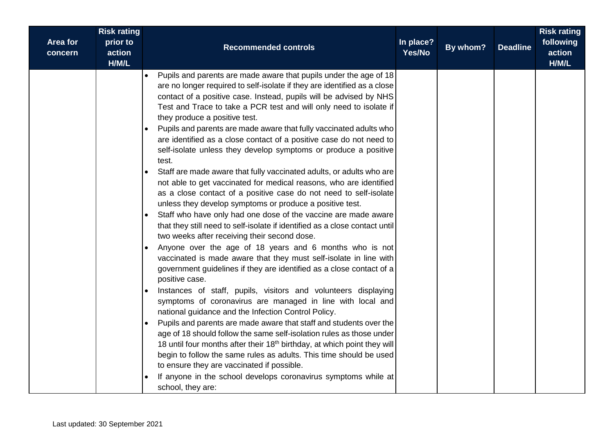| <b>Area for</b><br>concern | <b>Risk rating</b><br>prior to<br>action<br>H/M/L | <b>Recommended controls</b>                                                                                                                                                                                                                                                                                                                                                                                                                                                                                                                                                                                                                                                                                                                                                                                                                                                                                                                                                                                                                                                                                                                                                                                                                                                                                                                                                                                                                                                                                                                                                                                                                                                                                                                                                                                                                                                                                        | In place?<br>Yes/No | By whom? | <b>Deadline</b> | <b>Risk rating</b><br>following<br>action<br>H/M/L |
|----------------------------|---------------------------------------------------|--------------------------------------------------------------------------------------------------------------------------------------------------------------------------------------------------------------------------------------------------------------------------------------------------------------------------------------------------------------------------------------------------------------------------------------------------------------------------------------------------------------------------------------------------------------------------------------------------------------------------------------------------------------------------------------------------------------------------------------------------------------------------------------------------------------------------------------------------------------------------------------------------------------------------------------------------------------------------------------------------------------------------------------------------------------------------------------------------------------------------------------------------------------------------------------------------------------------------------------------------------------------------------------------------------------------------------------------------------------------------------------------------------------------------------------------------------------------------------------------------------------------------------------------------------------------------------------------------------------------------------------------------------------------------------------------------------------------------------------------------------------------------------------------------------------------------------------------------------------------------------------------------------------------|---------------------|----------|-----------------|----------------------------------------------------|
|                            |                                                   | Pupils and parents are made aware that pupils under the age of 18<br>are no longer required to self-isolate if they are identified as a close<br>contact of a positive case. Instead, pupils will be advised by NHS<br>Test and Trace to take a PCR test and will only need to isolate if<br>they produce a positive test.<br>Pupils and parents are made aware that fully vaccinated adults who<br>are identified as a close contact of a positive case do not need to<br>self-isolate unless they develop symptoms or produce a positive<br>test.<br>Staff are made aware that fully vaccinated adults, or adults who are<br>not able to get vaccinated for medical reasons, who are identified<br>as a close contact of a positive case do not need to self-isolate<br>unless they develop symptoms or produce a positive test.<br>Staff who have only had one dose of the vaccine are made aware<br>that they still need to self-isolate if identified as a close contact until<br>two weeks after receiving their second dose.<br>Anyone over the age of 18 years and 6 months who is not<br>vaccinated is made aware that they must self-isolate in line with<br>government guidelines if they are identified as a close contact of a<br>positive case.<br>Instances of staff, pupils, visitors and volunteers displaying<br>symptoms of coronavirus are managed in line with local and<br>national guidance and the Infection Control Policy.<br>Pupils and parents are made aware that staff and students over the<br>$\bullet$<br>age of 18 should follow the same self-isolation rules as those under<br>18 until four months after their 18 <sup>th</sup> birthday, at which point they will<br>begin to follow the same rules as adults. This time should be used<br>to ensure they are vaccinated if possible.<br>If anyone in the school develops coronavirus symptoms while at<br>school, they are: |                     |          |                 |                                                    |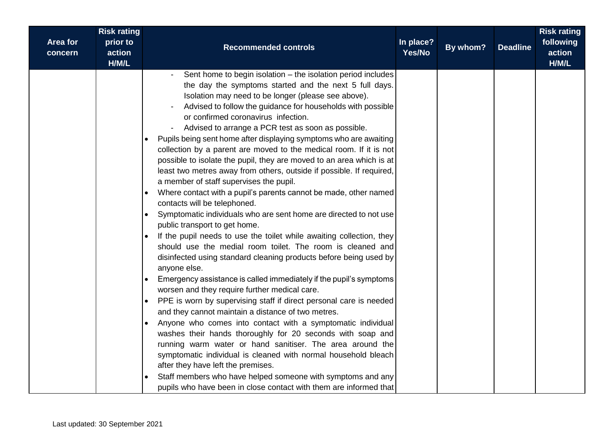| Area for<br>concern | <b>Risk rating</b><br>prior to<br>action<br>H/M/L | <b>Recommended controls</b>                                                                                                                                                                                                                                                                                                                                                                                                                                                                                                                                                                                                                                                                                                                                                                                                                                                                                                                                                                                                                                                                                                                                                                                                                                                                                                                                                                                                                                                                                                                                                                                                                                                                                                                                                                                                             | In place?<br>Yes/No | By whom? | <b>Deadline</b> | <b>Risk rating</b><br>following<br>action<br>H/M/L |
|---------------------|---------------------------------------------------|-----------------------------------------------------------------------------------------------------------------------------------------------------------------------------------------------------------------------------------------------------------------------------------------------------------------------------------------------------------------------------------------------------------------------------------------------------------------------------------------------------------------------------------------------------------------------------------------------------------------------------------------------------------------------------------------------------------------------------------------------------------------------------------------------------------------------------------------------------------------------------------------------------------------------------------------------------------------------------------------------------------------------------------------------------------------------------------------------------------------------------------------------------------------------------------------------------------------------------------------------------------------------------------------------------------------------------------------------------------------------------------------------------------------------------------------------------------------------------------------------------------------------------------------------------------------------------------------------------------------------------------------------------------------------------------------------------------------------------------------------------------------------------------------------------------------------------------------|---------------------|----------|-----------------|----------------------------------------------------|
|                     |                                                   | Sent home to begin isolation - the isolation period includes<br>the day the symptoms started and the next 5 full days.<br>Isolation may need to be longer (please see above).<br>Advised to follow the guidance for households with possible<br>or confirmed coronavirus infection.<br>Advised to arrange a PCR test as soon as possible.<br>Pupils being sent home after displaying symptoms who are awaiting<br>$\bullet$<br>collection by a parent are moved to the medical room. If it is not<br>possible to isolate the pupil, they are moved to an area which is at<br>least two metres away from others, outside if possible. If required,<br>a member of staff supervises the pupil.<br>Where contact with a pupil's parents cannot be made, other named<br>contacts will be telephoned.<br>Symptomatic individuals who are sent home are directed to not use<br>$\bullet$<br>public transport to get home.<br>If the pupil needs to use the toilet while awaiting collection, they<br>should use the medial room toilet. The room is cleaned and<br>disinfected using standard cleaning products before being used by<br>anyone else.<br>Emergency assistance is called immediately if the pupil's symptoms<br>worsen and they require further medical care.<br>PPE is worn by supervising staff if direct personal care is needed<br>and they cannot maintain a distance of two metres.<br>Anyone who comes into contact with a symptomatic individual<br>washes their hands thoroughly for 20 seconds with soap and<br>running warm water or hand sanitiser. The area around the<br>symptomatic individual is cleaned with normal household bleach<br>after they have left the premises.<br>Staff members who have helped someone with symptoms and any<br>pupils who have been in close contact with them are informed that |                     |          |                 |                                                    |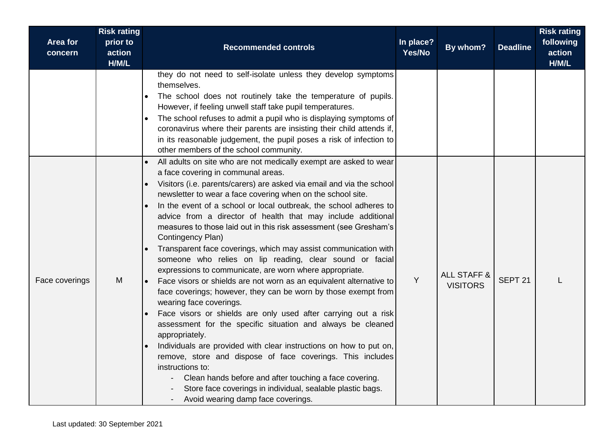| <b>Area for</b><br>concern | <b>Risk rating</b><br>prior to<br>action<br>H/M/L | <b>Recommended controls</b>                                                                                                                                                                                                                                                                                                                                                                                                                                                                                                                                                                                                                                                                                                                                                                                                                                                                                                                                                                                                                                                                                                                                                                                                                                                                                                        | In place?<br>Yes/No | By whom?                                  | <b>Deadline</b>    | <b>Risk rating</b><br>following<br>action<br>H/M/L |
|----------------------------|---------------------------------------------------|------------------------------------------------------------------------------------------------------------------------------------------------------------------------------------------------------------------------------------------------------------------------------------------------------------------------------------------------------------------------------------------------------------------------------------------------------------------------------------------------------------------------------------------------------------------------------------------------------------------------------------------------------------------------------------------------------------------------------------------------------------------------------------------------------------------------------------------------------------------------------------------------------------------------------------------------------------------------------------------------------------------------------------------------------------------------------------------------------------------------------------------------------------------------------------------------------------------------------------------------------------------------------------------------------------------------------------|---------------------|-------------------------------------------|--------------------|----------------------------------------------------|
|                            |                                                   | they do not need to self-isolate unless they develop symptoms<br>themselves.<br>The school does not routinely take the temperature of pupils.<br>However, if feeling unwell staff take pupil temperatures.<br>The school refuses to admit a pupil who is displaying symptoms of<br>coronavirus where their parents are insisting their child attends if,<br>in its reasonable judgement, the pupil poses a risk of infection to<br>other members of the school community.                                                                                                                                                                                                                                                                                                                                                                                                                                                                                                                                                                                                                                                                                                                                                                                                                                                          |                     |                                           |                    |                                                    |
| Face coverings             | M                                                 | All adults on site who are not medically exempt are asked to wear<br>a face covering in communal areas.<br>Visitors (i.e. parents/carers) are asked via email and via the school<br>$\bullet$<br>newsletter to wear a face covering when on the school site.<br>In the event of a school or local outbreak, the school adheres to<br>advice from a director of health that may include additional<br>measures to those laid out in this risk assessment (see Gresham's<br>Contingency Plan)<br>Transparent face coverings, which may assist communication with<br>someone who relies on lip reading, clear sound or facial<br>expressions to communicate, are worn where appropriate.<br>Face visors or shields are not worn as an equivalent alternative to<br>face coverings; however, they can be worn by those exempt from<br>wearing face coverings.<br>Face visors or shields are only used after carrying out a risk<br>assessment for the specific situation and always be cleaned<br>appropriately.<br>Individuals are provided with clear instructions on how to put on,<br>remove, store and dispose of face coverings. This includes<br>instructions to:<br>Clean hands before and after touching a face covering.<br>Store face coverings in individual, sealable plastic bags.<br>Avoid wearing damp face coverings. | Y                   | <b>ALL STAFF &amp;</b><br><b>VISITORS</b> | SEPT <sub>21</sub> |                                                    |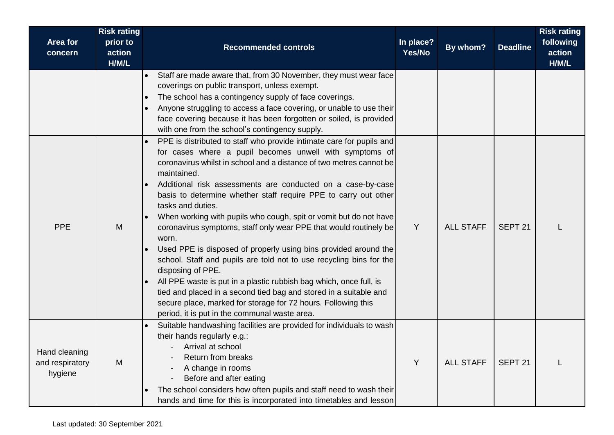| Area for<br>concern                         | <b>Risk rating</b><br>prior to<br>action | <b>Recommended controls</b>                                                                                                                                                                                                                                                                                                                                                                                                                                                                                                                                                                                                                                                                                                                                                                                                                                                                                                                                 | In place?<br>Yes/No | By whom?         | <b>Deadline</b>    | <b>Risk rating</b><br>following<br>action |
|---------------------------------------------|------------------------------------------|-------------------------------------------------------------------------------------------------------------------------------------------------------------------------------------------------------------------------------------------------------------------------------------------------------------------------------------------------------------------------------------------------------------------------------------------------------------------------------------------------------------------------------------------------------------------------------------------------------------------------------------------------------------------------------------------------------------------------------------------------------------------------------------------------------------------------------------------------------------------------------------------------------------------------------------------------------------|---------------------|------------------|--------------------|-------------------------------------------|
|                                             | H/M/L                                    | Staff are made aware that, from 30 November, they must wear face<br>coverings on public transport, unless exempt.<br>The school has a contingency supply of face coverings.<br>$\bullet$<br>Anyone struggling to access a face covering, or unable to use their<br>$\bullet$<br>face covering because it has been forgotten or soiled, is provided<br>with one from the school's contingency supply.                                                                                                                                                                                                                                                                                                                                                                                                                                                                                                                                                        |                     |                  |                    | H/M/L                                     |
| <b>PPE</b>                                  | M                                        | PPE is distributed to staff who provide intimate care for pupils and<br>for cases where a pupil becomes unwell with symptoms of<br>coronavirus whilst in school and a distance of two metres cannot be<br>maintained.<br>Additional risk assessments are conducted on a case-by-case<br>basis to determine whether staff require PPE to carry out other<br>tasks and duties.<br>When working with pupils who cough, spit or vomit but do not have<br>coronavirus symptoms, staff only wear PPE that would routinely be<br>worn.<br>Used PPE is disposed of properly using bins provided around the<br>school. Staff and pupils are told not to use recycling bins for the<br>disposing of PPE.<br>All PPE waste is put in a plastic rubbish bag which, once full, is<br>tied and placed in a second tied bag and stored in a suitable and<br>secure place, marked for storage for 72 hours. Following this<br>period, it is put in the communal waste area. | Y                   | <b>ALL STAFF</b> | SEPT <sub>21</sub> |                                           |
| Hand cleaning<br>and respiratory<br>hygiene | M                                        | Suitable handwashing facilities are provided for individuals to wash<br>their hands regularly e.g.:<br>Arrival at school<br>Return from breaks<br>A change in rooms<br>Before and after eating<br>The school considers how often pupils and staff need to wash their<br>hands and time for this is incorporated into timetables and lesson                                                                                                                                                                                                                                                                                                                                                                                                                                                                                                                                                                                                                  | Y                   | <b>ALL STAFF</b> | SEPT <sub>21</sub> |                                           |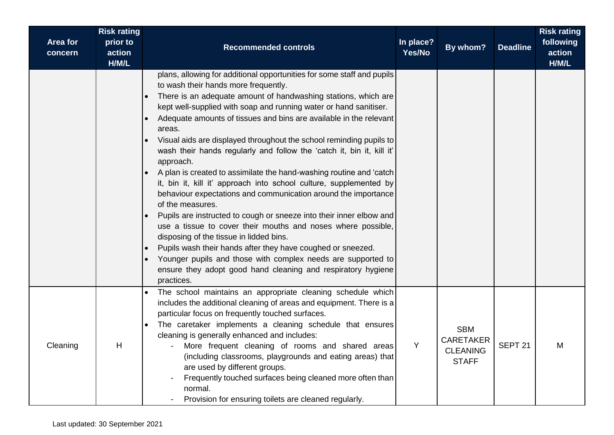| Area for<br>concern | <b>Risk rating</b><br>prior to<br>action<br>H/M/L | <b>Recommended controls</b>                                                                                                                                                                                                                                                                                                                                                                                                                                                                                                                                                                                                                                                                                                                                                                                                                                                                                                                                                                                                                                                                                                          | In place?<br>Yes/No | By whom?                                                          | <b>Deadline</b>    | <b>Risk rating</b><br>following<br>action<br>H/M/L |
|---------------------|---------------------------------------------------|--------------------------------------------------------------------------------------------------------------------------------------------------------------------------------------------------------------------------------------------------------------------------------------------------------------------------------------------------------------------------------------------------------------------------------------------------------------------------------------------------------------------------------------------------------------------------------------------------------------------------------------------------------------------------------------------------------------------------------------------------------------------------------------------------------------------------------------------------------------------------------------------------------------------------------------------------------------------------------------------------------------------------------------------------------------------------------------------------------------------------------------|---------------------|-------------------------------------------------------------------|--------------------|----------------------------------------------------|
|                     |                                                   | plans, allowing for additional opportunities for some staff and pupils<br>to wash their hands more frequently.<br>There is an adequate amount of handwashing stations, which are<br>kept well-supplied with soap and running water or hand sanitiser.<br>Adequate amounts of tissues and bins are available in the relevant<br>areas.<br>Visual aids are displayed throughout the school reminding pupils to<br>wash their hands regularly and follow the 'catch it, bin it, kill it'<br>approach.<br>A plan is created to assimilate the hand-washing routine and 'catch<br>it, bin it, kill it' approach into school culture, supplemented by<br>behaviour expectations and communication around the importance<br>of the measures.<br>Pupils are instructed to cough or sneeze into their inner elbow and<br>use a tissue to cover their mouths and noses where possible,<br>disposing of the tissue in lidded bins.<br>Pupils wash their hands after they have coughed or sneezed.<br>Younger pupils and those with complex needs are supported to<br>ensure they adopt good hand cleaning and respiratory hygiene<br>practices. |                     |                                                                   |                    |                                                    |
| Cleaning            | H                                                 | The school maintains an appropriate cleaning schedule which<br>$\bullet$<br>includes the additional cleaning of areas and equipment. There is a<br>particular focus on frequently touched surfaces.<br>The caretaker implements a cleaning schedule that ensures<br>cleaning is generally enhanced and includes:<br>More frequent cleaning of rooms and shared areas<br>(including classrooms, playgrounds and eating areas) that<br>are used by different groups.<br>Frequently touched surfaces being cleaned more often than<br>normal.<br>Provision for ensuring toilets are cleaned regularly.                                                                                                                                                                                                                                                                                                                                                                                                                                                                                                                                  | Y                   | <b>SBM</b><br><b>CARETAKER</b><br><b>CLEANING</b><br><b>STAFF</b> | SEPT <sub>21</sub> | M                                                  |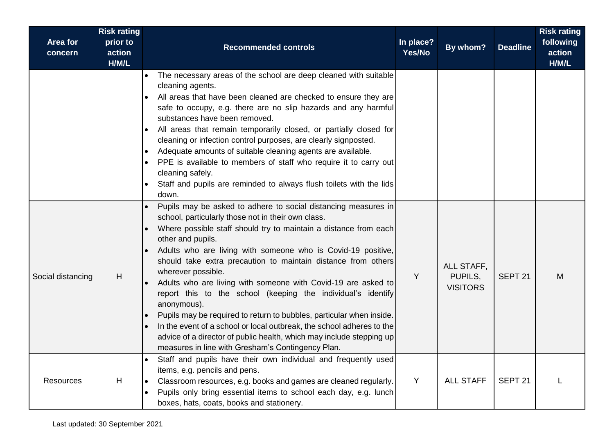| Area for<br>concern | <b>Risk rating</b><br>prior to<br>action<br>H/M/L | <b>Recommended controls</b>                                                                                                                                                                                                                                                                                                                                                                                                                                                                                                                                                                                                                                                                                                                                                                        | In place?<br>Yes/No | By whom?                                 | <b>Deadline</b>    | <b>Risk rating</b><br>following<br>action<br>H/M/L |
|---------------------|---------------------------------------------------|----------------------------------------------------------------------------------------------------------------------------------------------------------------------------------------------------------------------------------------------------------------------------------------------------------------------------------------------------------------------------------------------------------------------------------------------------------------------------------------------------------------------------------------------------------------------------------------------------------------------------------------------------------------------------------------------------------------------------------------------------------------------------------------------------|---------------------|------------------------------------------|--------------------|----------------------------------------------------|
|                     |                                                   | The necessary areas of the school are deep cleaned with suitable<br>cleaning agents.<br>All areas that have been cleaned are checked to ensure they are<br>safe to occupy, e.g. there are no slip hazards and any harmful<br>substances have been removed.<br>All areas that remain temporarily closed, or partially closed for<br>cleaning or infection control purposes, are clearly signposted.<br>Adequate amounts of suitable cleaning agents are available.<br>PPE is available to members of staff who require it to carry out<br>cleaning safely.<br>Staff and pupils are reminded to always flush toilets with the lids<br>down.                                                                                                                                                          |                     |                                          |                    |                                                    |
| Social distancing   | н                                                 | Pupils may be asked to adhere to social distancing measures in<br>school, particularly those not in their own class.<br>Where possible staff should try to maintain a distance from each<br>other and pupils.<br>Adults who are living with someone who is Covid-19 positive,<br>should take extra precaution to maintain distance from others<br>wherever possible.<br>Adults who are living with someone with Covid-19 are asked to<br>report this to the school (keeping the individual's identify<br>anonymous).<br>Pupils may be required to return to bubbles, particular when inside.<br>In the event of a school or local outbreak, the school adheres to the<br>advice of a director of public health, which may include stepping up<br>measures in line with Gresham's Contingency Plan. | Y                   | ALL STAFF,<br>PUPILS,<br><b>VISITORS</b> | SEPT <sub>21</sub> | M                                                  |
| <b>Resources</b>    | Н                                                 | Staff and pupils have their own individual and frequently used<br>items, e.g. pencils and pens.<br>Classroom resources, e.g. books and games are cleaned regularly.<br>Pupils only bring essential items to school each day, e.g. lunch<br>boxes, hats, coats, books and stationery.                                                                                                                                                                                                                                                                                                                                                                                                                                                                                                               | Y                   | <b>ALL STAFF</b>                         | SEPT 21            |                                                    |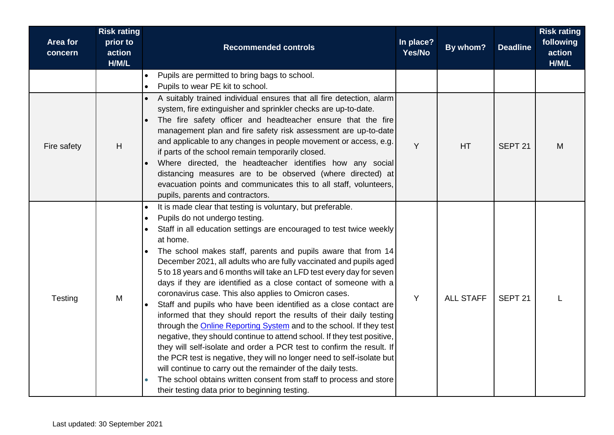| <b>Area for</b><br>concern | <b>Risk rating</b><br>prior to<br>action<br>H/M/L | <b>Recommended controls</b>                                                                                                                                                                                                                                                                                                                                                                                                                                                                                                                                                                                                                                                                                                                                                                                                                                                                                                                                                                                                                                                                                                                                                 | In place?<br>Yes/No | By whom?         | <b>Deadline</b>    | <b>Risk rating</b><br>following<br>action<br>H/M/L |
|----------------------------|---------------------------------------------------|-----------------------------------------------------------------------------------------------------------------------------------------------------------------------------------------------------------------------------------------------------------------------------------------------------------------------------------------------------------------------------------------------------------------------------------------------------------------------------------------------------------------------------------------------------------------------------------------------------------------------------------------------------------------------------------------------------------------------------------------------------------------------------------------------------------------------------------------------------------------------------------------------------------------------------------------------------------------------------------------------------------------------------------------------------------------------------------------------------------------------------------------------------------------------------|---------------------|------------------|--------------------|----------------------------------------------------|
|                            |                                                   | Pupils are permitted to bring bags to school.<br>∣∙<br>Pupils to wear PE kit to school.                                                                                                                                                                                                                                                                                                                                                                                                                                                                                                                                                                                                                                                                                                                                                                                                                                                                                                                                                                                                                                                                                     |                     |                  |                    |                                                    |
| Fire safety                | H                                                 | A suitably trained individual ensures that all fire detection, alarm<br>system, fire extinguisher and sprinkler checks are up-to-date.<br>The fire safety officer and headteacher ensure that the fire<br>management plan and fire safety risk assessment are up-to-date<br>and applicable to any changes in people movement or access, e.g.<br>if parts of the school remain temporarily closed.<br>Where directed, the headteacher identifies how any social<br>distancing measures are to be observed (where directed) at<br>evacuation points and communicates this to all staff, volunteers,<br>pupils, parents and contractors.                                                                                                                                                                                                                                                                                                                                                                                                                                                                                                                                       | Y                   | <b>HT</b>        | SEPT <sub>21</sub> | M                                                  |
| Testing                    | M                                                 | It is made clear that testing is voluntary, but preferable.<br>Pupils do not undergo testing.<br>Staff in all education settings are encouraged to test twice weekly<br>at home.<br>The school makes staff, parents and pupils aware that from 14<br>December 2021, all adults who are fully vaccinated and pupils aged<br>5 to 18 years and 6 months will take an LFD test every day for seven<br>days if they are identified as a close contact of someone with a<br>coronavirus case. This also applies to Omicron cases.<br>Staff and pupils who have been identified as a close contact are<br>informed that they should report the results of their daily testing<br>through the <b>Online Reporting System</b> and to the school. If they test<br>negative, they should continue to attend school. If they test positive,<br>they will self-isolate and order a PCR test to confirm the result. If<br>the PCR test is negative, they will no longer need to self-isolate but<br>will continue to carry out the remainder of the daily tests.<br>The school obtains written consent from staff to process and store<br>their testing data prior to beginning testing. | Y                   | <b>ALL STAFF</b> | SEPT <sub>21</sub> |                                                    |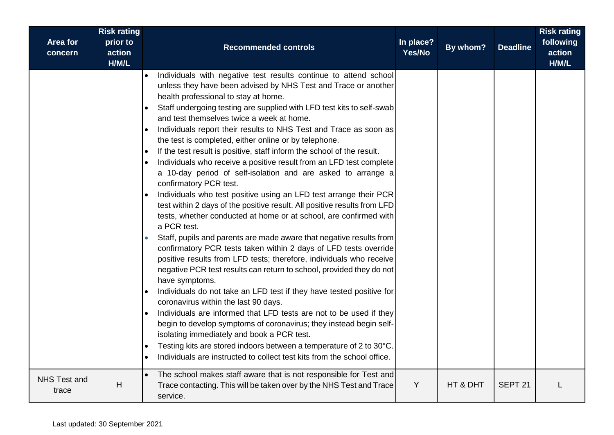|                              | <b>Risk rating</b>          |                                                                                                                                                                                                                                                                                                                                                                                                                                                                                                                                                                                                                                                                                                                                                                                                                                                                                                                                                                                                                                                                                                                                                                                                                                                                                                                                                                                                                                                                                                                                                                                                                                                                                                                               |                     |          |                    | <b>Risk rating</b>           |
|------------------------------|-----------------------------|-------------------------------------------------------------------------------------------------------------------------------------------------------------------------------------------------------------------------------------------------------------------------------------------------------------------------------------------------------------------------------------------------------------------------------------------------------------------------------------------------------------------------------------------------------------------------------------------------------------------------------------------------------------------------------------------------------------------------------------------------------------------------------------------------------------------------------------------------------------------------------------------------------------------------------------------------------------------------------------------------------------------------------------------------------------------------------------------------------------------------------------------------------------------------------------------------------------------------------------------------------------------------------------------------------------------------------------------------------------------------------------------------------------------------------------------------------------------------------------------------------------------------------------------------------------------------------------------------------------------------------------------------------------------------------------------------------------------------------|---------------------|----------|--------------------|------------------------------|
| <b>Area for</b><br>concern   | prior to<br>action<br>H/M/L | <b>Recommended controls</b>                                                                                                                                                                                                                                                                                                                                                                                                                                                                                                                                                                                                                                                                                                                                                                                                                                                                                                                                                                                                                                                                                                                                                                                                                                                                                                                                                                                                                                                                                                                                                                                                                                                                                                   | In place?<br>Yes/No | By whom? | <b>Deadline</b>    | following<br>action<br>H/M/L |
|                              |                             | Individuals with negative test results continue to attend school<br>unless they have been advised by NHS Test and Trace or another<br>health professional to stay at home.<br>Staff undergoing testing are supplied with LFD test kits to self-swab<br>$\bullet$<br>and test themselves twice a week at home.<br>Individuals report their results to NHS Test and Trace as soon as<br>the test is completed, either online or by telephone.<br>If the test result is positive, staff inform the school of the result.<br>$\bullet$<br>Individuals who receive a positive result from an LFD test complete<br>a 10-day period of self-isolation and are asked to arrange a<br>confirmatory PCR test.<br>Individuals who test positive using an LFD test arrange their PCR<br>test within 2 days of the positive result. All positive results from LFD<br>tests, whether conducted at home or at school, are confirmed with<br>a PCR test.<br>Staff, pupils and parents are made aware that negative results from<br>confirmatory PCR tests taken within 2 days of LFD tests override<br>positive results from LFD tests; therefore, individuals who receive<br>negative PCR test results can return to school, provided they do not<br>have symptoms.<br>Individuals do not take an LFD test if they have tested positive for<br>coronavirus within the last 90 days.<br>Individuals are informed that LFD tests are not to be used if they<br>begin to develop symptoms of coronavirus; they instead begin self-<br>isolating immediately and book a PCR test.<br>Testing kits are stored indoors between a temperature of 2 to 30°C.<br>$\bullet$<br>Individuals are instructed to collect test kits from the school office. |                     |          |                    |                              |
| <b>NHS Test and</b><br>trace | Н                           | The school makes staff aware that is not responsible for Test and<br>Trace contacting. This will be taken over by the NHS Test and Trace<br>service.                                                                                                                                                                                                                                                                                                                                                                                                                                                                                                                                                                                                                                                                                                                                                                                                                                                                                                                                                                                                                                                                                                                                                                                                                                                                                                                                                                                                                                                                                                                                                                          | Y                   | HT & DHT | SEPT <sub>21</sub> |                              |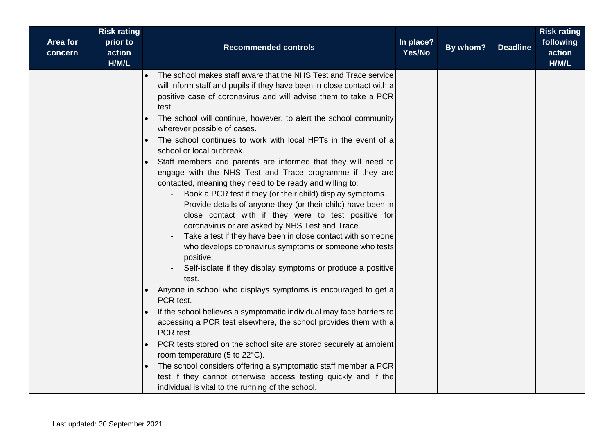| <b>Risk rating</b><br>Area for<br>prior to<br>action<br>concern<br>H/M/L | <b>Recommended controls</b>                                                                                                                                                                                                                                                                                                                                                                                                                                                                                                                                                                                                                                                                                                                                                                                                                                                                                                                                                                                                                                                                                                                                                                                                                                                                                                                                                                                                                                                                                                                                                                                     | In place?<br>Yes/No | By whom? | <b>Deadline</b> | <b>Risk rating</b><br>following<br>action<br>H/M/L |
|--------------------------------------------------------------------------|-----------------------------------------------------------------------------------------------------------------------------------------------------------------------------------------------------------------------------------------------------------------------------------------------------------------------------------------------------------------------------------------------------------------------------------------------------------------------------------------------------------------------------------------------------------------------------------------------------------------------------------------------------------------------------------------------------------------------------------------------------------------------------------------------------------------------------------------------------------------------------------------------------------------------------------------------------------------------------------------------------------------------------------------------------------------------------------------------------------------------------------------------------------------------------------------------------------------------------------------------------------------------------------------------------------------------------------------------------------------------------------------------------------------------------------------------------------------------------------------------------------------------------------------------------------------------------------------------------------------|---------------------|----------|-----------------|----------------------------------------------------|
|                                                                          | The school makes staff aware that the NHS Test and Trace service<br>will inform staff and pupils if they have been in close contact with a<br>positive case of coronavirus and will advise them to take a PCR<br>test.<br>The school will continue, however, to alert the school community<br>wherever possible of cases.<br>The school continues to work with local HPTs in the event of a<br>school or local outbreak.<br>Staff members and parents are informed that they will need to<br>engage with the NHS Test and Trace programme if they are<br>contacted, meaning they need to be ready and willing to:<br>Book a PCR test if they (or their child) display symptoms.<br>Provide details of anyone they (or their child) have been in<br>close contact with if they were to test positive for<br>coronavirus or are asked by NHS Test and Trace.<br>Take a test if they have been in close contact with someone<br>who develops coronavirus symptoms or someone who tests<br>positive.<br>Self-isolate if they display symptoms or produce a positive<br>test.<br>Anyone in school who displays symptoms is encouraged to get a<br>PCR test.<br>If the school believes a symptomatic individual may face barriers to<br>accessing a PCR test elsewhere, the school provides them with a<br>PCR test.<br>PCR tests stored on the school site are stored securely at ambient<br>room temperature (5 to 22°C).<br>The school considers offering a symptomatic staff member a PCR<br>test if they cannot otherwise access testing quickly and if the<br>individual is vital to the running of the school. |                     |          |                 |                                                    |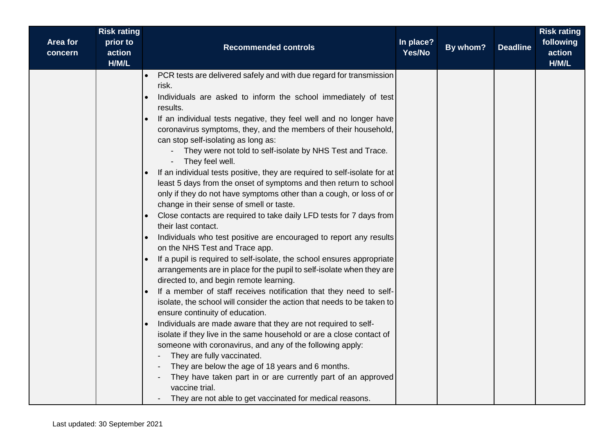| Area for | <b>Risk rating</b><br>prior to |                                                                                                                                                                                                                                                                                                                                                                                                                                                                                                                                                                                                                                                                                                                                                                                                                                                                                                                                                                                                                                                                                                                                                                                                                                                                                                                                                                                                                                                                                                                                                                                                                                                                                                                               | In place? |          |                 | <b>Risk rating</b><br>following |
|----------|--------------------------------|-------------------------------------------------------------------------------------------------------------------------------------------------------------------------------------------------------------------------------------------------------------------------------------------------------------------------------------------------------------------------------------------------------------------------------------------------------------------------------------------------------------------------------------------------------------------------------------------------------------------------------------------------------------------------------------------------------------------------------------------------------------------------------------------------------------------------------------------------------------------------------------------------------------------------------------------------------------------------------------------------------------------------------------------------------------------------------------------------------------------------------------------------------------------------------------------------------------------------------------------------------------------------------------------------------------------------------------------------------------------------------------------------------------------------------------------------------------------------------------------------------------------------------------------------------------------------------------------------------------------------------------------------------------------------------------------------------------------------------|-----------|----------|-----------------|---------------------------------|
| concern  | action<br>H/M/L                | <b>Recommended controls</b>                                                                                                                                                                                                                                                                                                                                                                                                                                                                                                                                                                                                                                                                                                                                                                                                                                                                                                                                                                                                                                                                                                                                                                                                                                                                                                                                                                                                                                                                                                                                                                                                                                                                                                   | Yes/No    | By whom? | <b>Deadline</b> | action<br>H/M/L                 |
|          |                                | PCR tests are delivered safely and with due regard for transmission<br>risk.<br>Individuals are asked to inform the school immediately of test<br>results.<br>If an individual tests negative, they feel well and no longer have<br>coronavirus symptoms, they, and the members of their household,<br>can stop self-isolating as long as:<br>They were not told to self-isolate by NHS Test and Trace.<br>They feel well.<br>If an individual tests positive, they are required to self-isolate for at<br>least 5 days from the onset of symptoms and then return to school<br>only if they do not have symptoms other than a cough, or loss of or<br>change in their sense of smell or taste.<br>Close contacts are required to take daily LFD tests for 7 days from<br>their last contact.<br>Individuals who test positive are encouraged to report any results<br>on the NHS Test and Trace app.<br>If a pupil is required to self-isolate, the school ensures appropriate<br>arrangements are in place for the pupil to self-isolate when they are<br>directed to, and begin remote learning.<br>If a member of staff receives notification that they need to self-<br>isolate, the school will consider the action that needs to be taken to<br>ensure continuity of education.<br>Individuals are made aware that they are not required to self-<br>isolate if they live in the same household or are a close contact of<br>someone with coronavirus, and any of the following apply:<br>They are fully vaccinated.<br>They are below the age of 18 years and 6 months.<br>They have taken part in or are currently part of an approved<br>vaccine trial.<br>They are not able to get vaccinated for medical reasons. |           |          |                 |                                 |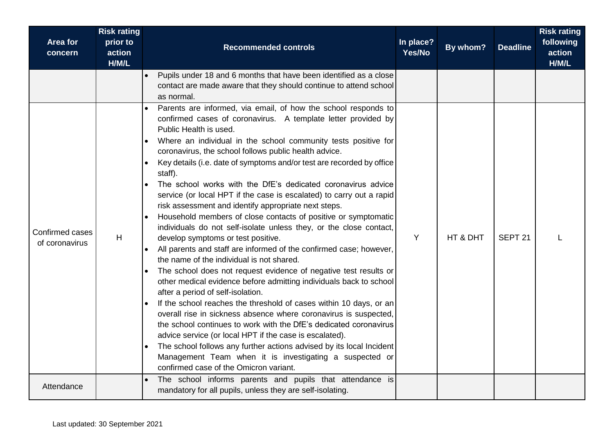| Area for<br>concern               | <b>Risk rating</b><br>prior to<br>action<br>H/M/L | <b>Recommended controls</b>                                                                                                                                                                                                                                                                                                                                                                                                                                                                                                                                                                                                                                                                                                                                                                                                                                                                                                                                                                                                                                                                                                                                                                                                                                                                                                                                                                                                                                                                                                  | In place?<br>Yes/No | By whom? | <b>Deadline</b>    | <b>Risk rating</b><br>following<br>action<br>H/M/L |
|-----------------------------------|---------------------------------------------------|------------------------------------------------------------------------------------------------------------------------------------------------------------------------------------------------------------------------------------------------------------------------------------------------------------------------------------------------------------------------------------------------------------------------------------------------------------------------------------------------------------------------------------------------------------------------------------------------------------------------------------------------------------------------------------------------------------------------------------------------------------------------------------------------------------------------------------------------------------------------------------------------------------------------------------------------------------------------------------------------------------------------------------------------------------------------------------------------------------------------------------------------------------------------------------------------------------------------------------------------------------------------------------------------------------------------------------------------------------------------------------------------------------------------------------------------------------------------------------------------------------------------------|---------------------|----------|--------------------|----------------------------------------------------|
|                                   |                                                   | Pupils under 18 and 6 months that have been identified as a close<br>contact are made aware that they should continue to attend school<br>as normal.                                                                                                                                                                                                                                                                                                                                                                                                                                                                                                                                                                                                                                                                                                                                                                                                                                                                                                                                                                                                                                                                                                                                                                                                                                                                                                                                                                         |                     |          |                    |                                                    |
| Confirmed cases<br>of coronavirus | Н                                                 | Parents are informed, via email, of how the school responds to<br>confirmed cases of coronavirus. A template letter provided by<br>Public Health is used.<br>Where an individual in the school community tests positive for<br>coronavirus, the school follows public health advice.<br>Key details (i.e. date of symptoms and/or test are recorded by office<br>$\bullet$<br>staff).<br>The school works with the DfE's dedicated coronavirus advice<br>service (or local HPT if the case is escalated) to carry out a rapid<br>risk assessment and identify appropriate next steps.<br>Household members of close contacts of positive or symptomatic<br>individuals do not self-isolate unless they, or the close contact,<br>develop symptoms or test positive.<br>All parents and staff are informed of the confirmed case; however,<br>the name of the individual is not shared.<br>The school does not request evidence of negative test results or<br>other medical evidence before admitting individuals back to school<br>after a period of self-isolation.<br>If the school reaches the threshold of cases within 10 days, or an<br>overall rise in sickness absence where coronavirus is suspected,<br>the school continues to work with the DfE's dedicated coronavirus<br>advice service (or local HPT if the case is escalated).<br>The school follows any further actions advised by its local Incident<br>Management Team when it is investigating a suspected or<br>confirmed case of the Omicron variant. | Y                   | HT & DHT | SEPT <sub>21</sub> |                                                    |
| Attendance                        |                                                   | The school informs parents and pupils that attendance is<br>mandatory for all pupils, unless they are self-isolating.                                                                                                                                                                                                                                                                                                                                                                                                                                                                                                                                                                                                                                                                                                                                                                                                                                                                                                                                                                                                                                                                                                                                                                                                                                                                                                                                                                                                        |                     |          |                    |                                                    |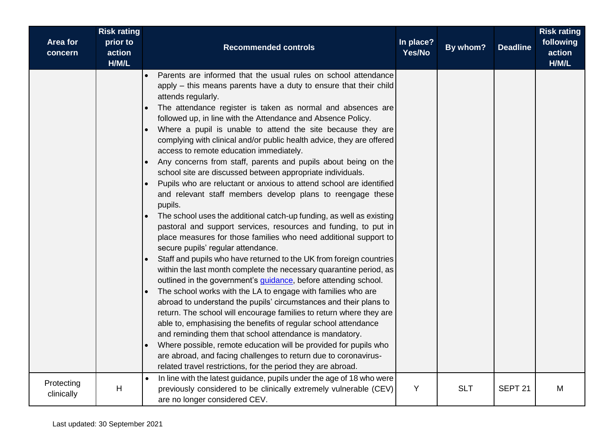|                            | <b>Risk rating</b>          |                                                                                                                                                                                                                                                                                                                                                                                                                                                                                                                                                                                                                                                                                                                                                                                                                                                                                                                                                                                                                                                                                                                                                                                                                                                                                                                                                                                                                                                                                                                                                                                                                                                                                                                                                                                                                                 |                     |            |                    | <b>Risk rating</b>           |
|----------------------------|-----------------------------|---------------------------------------------------------------------------------------------------------------------------------------------------------------------------------------------------------------------------------------------------------------------------------------------------------------------------------------------------------------------------------------------------------------------------------------------------------------------------------------------------------------------------------------------------------------------------------------------------------------------------------------------------------------------------------------------------------------------------------------------------------------------------------------------------------------------------------------------------------------------------------------------------------------------------------------------------------------------------------------------------------------------------------------------------------------------------------------------------------------------------------------------------------------------------------------------------------------------------------------------------------------------------------------------------------------------------------------------------------------------------------------------------------------------------------------------------------------------------------------------------------------------------------------------------------------------------------------------------------------------------------------------------------------------------------------------------------------------------------------------------------------------------------------------------------------------------------|---------------------|------------|--------------------|------------------------------|
| <b>Area for</b><br>concern | prior to<br>action<br>H/M/L | <b>Recommended controls</b>                                                                                                                                                                                                                                                                                                                                                                                                                                                                                                                                                                                                                                                                                                                                                                                                                                                                                                                                                                                                                                                                                                                                                                                                                                                                                                                                                                                                                                                                                                                                                                                                                                                                                                                                                                                                     | In place?<br>Yes/No | By whom?   | <b>Deadline</b>    | following<br>action<br>H/M/L |
|                            |                             | Parents are informed that the usual rules on school attendance<br>apply – this means parents have a duty to ensure that their child<br>attends regularly.<br>The attendance register is taken as normal and absences are<br>$\bullet$<br>followed up, in line with the Attendance and Absence Policy.<br>Where a pupil is unable to attend the site because they are<br>$\bullet$<br>complying with clinical and/or public health advice, they are offered<br>access to remote education immediately.<br>Any concerns from staff, parents and pupils about being on the<br>school site are discussed between appropriate individuals.<br>Pupils who are reluctant or anxious to attend school are identified<br>and relevant staff members develop plans to reengage these<br>pupils.<br>The school uses the additional catch-up funding, as well as existing<br>pastoral and support services, resources and funding, to put in<br>place measures for those families who need additional support to<br>secure pupils' regular attendance.<br>Staff and pupils who have returned to the UK from foreign countries<br>within the last month complete the necessary quarantine period, as<br>outlined in the government's <i>guidance</i> , before attending school.<br>The school works with the LA to engage with families who are<br>$\bullet$<br>abroad to understand the pupils' circumstances and their plans to<br>return. The school will encourage families to return where they are<br>able to, emphasising the benefits of regular school attendance<br>and reminding them that school attendance is mandatory.<br>Where possible, remote education will be provided for pupils who<br>are abroad, and facing challenges to return due to coronavirus-<br>related travel restrictions, for the period they are abroad. |                     |            |                    |                              |
| Protecting<br>clinically   | H                           | In line with the latest guidance, pupils under the age of 18 who were<br>$\bullet$<br>previously considered to be clinically extremely vulnerable (CEV)<br>are no longer considered CEV.                                                                                                                                                                                                                                                                                                                                                                                                                                                                                                                                                                                                                                                                                                                                                                                                                                                                                                                                                                                                                                                                                                                                                                                                                                                                                                                                                                                                                                                                                                                                                                                                                                        | Y                   | <b>SLT</b> | SEPT <sub>21</sub> | M                            |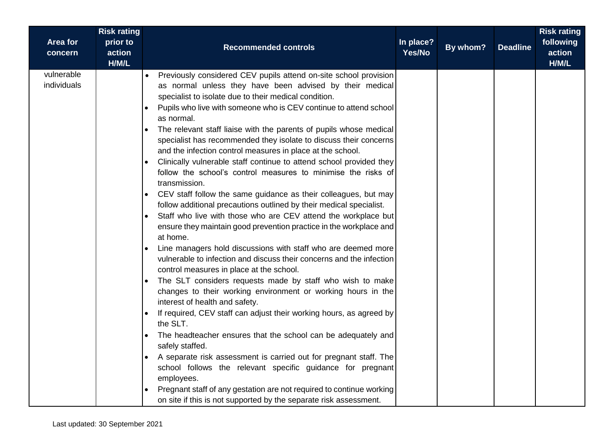| Area for<br>concern       | <b>Risk rating</b><br>prior to<br>action<br>H/M/L | <b>Recommended controls</b>                                                                                                                                                                                                                                                                                                                                                                                                                                                                                                                                                                                                                                                                                                                                                                                                                                                                                                                                                                                                                                                                                                                                                                                                                                                                                                                                                                                                                                                                                                                                                                                                                                                                                                                                                                                                        | In place?<br>Yes/No | By whom? | <b>Deadline</b> | <b>Risk rating</b><br>following<br>action<br>H/M/L |
|---------------------------|---------------------------------------------------|------------------------------------------------------------------------------------------------------------------------------------------------------------------------------------------------------------------------------------------------------------------------------------------------------------------------------------------------------------------------------------------------------------------------------------------------------------------------------------------------------------------------------------------------------------------------------------------------------------------------------------------------------------------------------------------------------------------------------------------------------------------------------------------------------------------------------------------------------------------------------------------------------------------------------------------------------------------------------------------------------------------------------------------------------------------------------------------------------------------------------------------------------------------------------------------------------------------------------------------------------------------------------------------------------------------------------------------------------------------------------------------------------------------------------------------------------------------------------------------------------------------------------------------------------------------------------------------------------------------------------------------------------------------------------------------------------------------------------------------------------------------------------------------------------------------------------------|---------------------|----------|-----------------|----------------------------------------------------|
| vulnerable<br>individuals |                                                   | Previously considered CEV pupils attend on-site school provision<br>as normal unless they have been advised by their medical<br>specialist to isolate due to their medical condition.<br>Pupils who live with someone who is CEV continue to attend school<br>$\bullet$<br>as normal.<br>The relevant staff liaise with the parents of pupils whose medical<br>$\bullet$<br>specialist has recommended they isolate to discuss their concerns<br>and the infection control measures in place at the school.<br>Clinically vulnerable staff continue to attend school provided they<br>follow the school's control measures to minimise the risks of<br>transmission.<br>CEV staff follow the same guidance as their colleagues, but may<br>$\bullet$<br>follow additional precautions outlined by their medical specialist.<br>Staff who live with those who are CEV attend the workplace but<br>$\bullet$<br>ensure they maintain good prevention practice in the workplace and<br>at home.<br>Line managers hold discussions with staff who are deemed more<br>vulnerable to infection and discuss their concerns and the infection<br>control measures in place at the school.<br>The SLT considers requests made by staff who wish to make<br>$\bullet$<br>changes to their working environment or working hours in the<br>interest of health and safety.<br>If required, CEV staff can adjust their working hours, as agreed by<br>the SLT.<br>The headteacher ensures that the school can be adequately and<br>safely staffed.<br>A separate risk assessment is carried out for pregnant staff. The<br>school follows the relevant specific guidance for pregnant<br>employees.<br>Pregnant staff of any gestation are not required to continue working<br>on site if this is not supported by the separate risk assessment. |                     |          |                 |                                                    |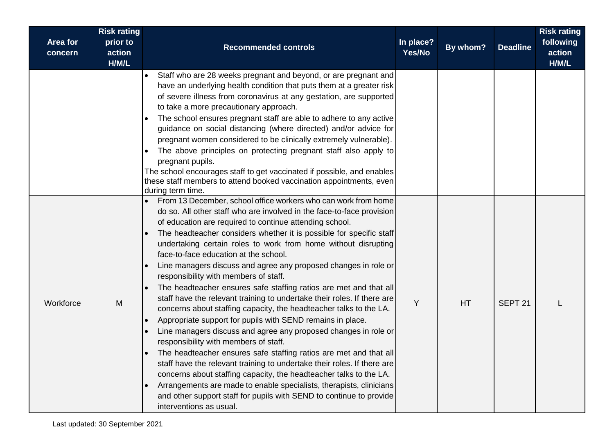|                     | <b>Risk rating</b>          |                                                                                                                                                                                                                                                                                                                                                                                                                                                                                                                                                                                                                                                                                                                                                                                                                                                                                                                                                                                                                                                                                                                                                                                                                                                                                                 |                     |          |                    | <b>Risk rating</b>           |
|---------------------|-----------------------------|-------------------------------------------------------------------------------------------------------------------------------------------------------------------------------------------------------------------------------------------------------------------------------------------------------------------------------------------------------------------------------------------------------------------------------------------------------------------------------------------------------------------------------------------------------------------------------------------------------------------------------------------------------------------------------------------------------------------------------------------------------------------------------------------------------------------------------------------------------------------------------------------------------------------------------------------------------------------------------------------------------------------------------------------------------------------------------------------------------------------------------------------------------------------------------------------------------------------------------------------------------------------------------------------------|---------------------|----------|--------------------|------------------------------|
| Area for<br>concern | prior to<br>action<br>H/M/L | <b>Recommended controls</b>                                                                                                                                                                                                                                                                                                                                                                                                                                                                                                                                                                                                                                                                                                                                                                                                                                                                                                                                                                                                                                                                                                                                                                                                                                                                     | In place?<br>Yes/No | By whom? | <b>Deadline</b>    | following<br>action<br>H/M/L |
|                     |                             | Staff who are 28 weeks pregnant and beyond, or are pregnant and<br>have an underlying health condition that puts them at a greater risk<br>of severe illness from coronavirus at any gestation, are supported<br>to take a more precautionary approach.<br>The school ensures pregnant staff are able to adhere to any active<br>guidance on social distancing (where directed) and/or advice for<br>pregnant women considered to be clinically extremely vulnerable).<br>The above principles on protecting pregnant staff also apply to<br>pregnant pupils.<br>The school encourages staff to get vaccinated if possible, and enables<br>these staff members to attend booked vaccination appointments, even<br>during term time.                                                                                                                                                                                                                                                                                                                                                                                                                                                                                                                                                             |                     |          |                    |                              |
| Workforce           | M                           | From 13 December, school office workers who can work from home<br>do so. All other staff who are involved in the face-to-face provision<br>of education are required to continue attending school.<br>The headteacher considers whether it is possible for specific staff<br>undertaking certain roles to work from home without disrupting<br>face-to-face education at the school.<br>Line managers discuss and agree any proposed changes in role or<br>responsibility with members of staff.<br>The headteacher ensures safe staffing ratios are met and that all<br>staff have the relevant training to undertake their roles. If there are<br>concerns about staffing capacity, the headteacher talks to the LA.<br>Appropriate support for pupils with SEND remains in place.<br>Line managers discuss and agree any proposed changes in role or<br>responsibility with members of staff.<br>The headteacher ensures safe staffing ratios are met and that all<br>staff have the relevant training to undertake their roles. If there are<br>concerns about staffing capacity, the headteacher talks to the LA.<br>Arrangements are made to enable specialists, therapists, clinicians<br>and other support staff for pupils with SEND to continue to provide<br>interventions as usual. | Y                   | HT       | SEPT <sub>21</sub> |                              |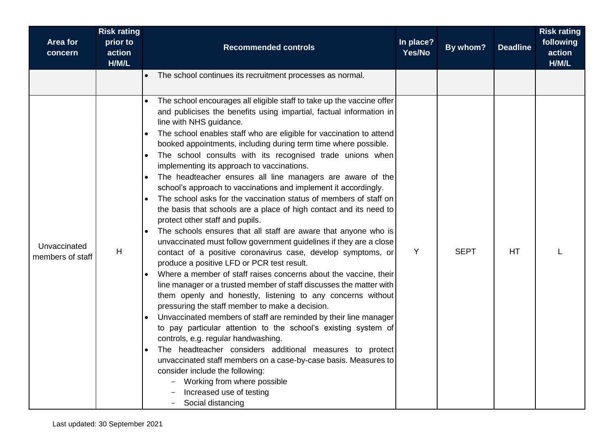| <b>Area for</b><br>concern       | <b>Risk rating</b><br>prior to<br>action<br>H/M/L | <b>Recommended controls</b>                                                                                                                                                                                                                                                                                                                                                                                                                                                                                                                                                                                                                                                                                                                                                                                                                                                                                                                                                                                                                                                                                                                                                                                                                                                                                                                                                                                                                                                                                                                                                                                                                                                                    | In place?<br>Yes/No | By whom?    | <b>Deadline</b> | <b>Risk rating</b><br>following<br>action<br>H/M/L |
|----------------------------------|---------------------------------------------------|------------------------------------------------------------------------------------------------------------------------------------------------------------------------------------------------------------------------------------------------------------------------------------------------------------------------------------------------------------------------------------------------------------------------------------------------------------------------------------------------------------------------------------------------------------------------------------------------------------------------------------------------------------------------------------------------------------------------------------------------------------------------------------------------------------------------------------------------------------------------------------------------------------------------------------------------------------------------------------------------------------------------------------------------------------------------------------------------------------------------------------------------------------------------------------------------------------------------------------------------------------------------------------------------------------------------------------------------------------------------------------------------------------------------------------------------------------------------------------------------------------------------------------------------------------------------------------------------------------------------------------------------------------------------------------------------|---------------------|-------------|-----------------|----------------------------------------------------|
|                                  |                                                   | The school continues its recruitment processes as normal.                                                                                                                                                                                                                                                                                                                                                                                                                                                                                                                                                                                                                                                                                                                                                                                                                                                                                                                                                                                                                                                                                                                                                                                                                                                                                                                                                                                                                                                                                                                                                                                                                                      |                     |             |                 |                                                    |
| Unvaccinated<br>members of staff | H                                                 | The school encourages all eligible staff to take up the vaccine offer<br>and publicises the benefits using impartial, factual information in<br>line with NHS guidance.<br>The school enables staff who are eligible for vaccination to attend<br>booked appointments, including during term time where possible.<br>The school consults with its recognised trade unions when<br>implementing its approach to vaccinations.<br>The headteacher ensures all line managers are aware of the<br>school's approach to vaccinations and implement it accordingly.<br>The school asks for the vaccination status of members of staff on<br>the basis that schools are a place of high contact and its need to<br>protect other staff and pupils.<br>The schools ensures that all staff are aware that anyone who is<br>unvaccinated must follow government guidelines if they are a close<br>contact of a positive coronavirus case, develop symptoms, or<br>produce a positive LFD or PCR test result.<br>Where a member of staff raises concerns about the vaccine, their<br>line manager or a trusted member of staff discusses the matter with<br>them openly and honestly, listening to any concerns without<br>pressuring the staff member to make a decision.<br>Unvaccinated members of staff are reminded by their line manager<br>to pay particular attention to the school's existing system of<br>controls, e.g. regular handwashing.<br>The headteacher considers additional measures to protect<br>unvaccinated staff members on a case-by-case basis. Measures to<br>consider include the following:<br>Working from where possible<br>Increased use of testing<br>Social distancing | Y                   | <b>SEPT</b> | HT              |                                                    |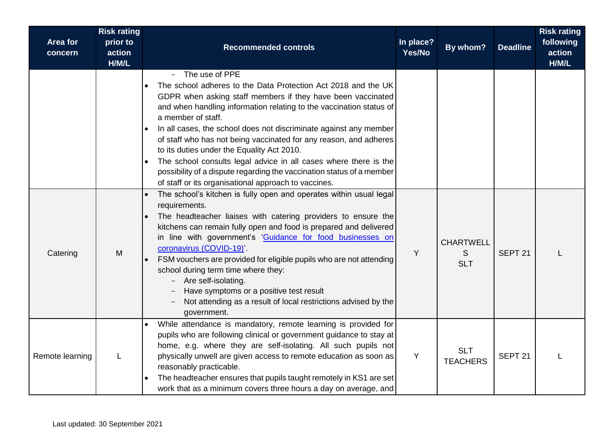| <b>Area for</b><br>concern | <b>Risk rating</b><br>prior to<br>action<br>H/M/L | <b>Recommended controls</b>                                                                                                                                                                                                                                                                                                                                                                                                                                                                                                                                                                                                              | In place?<br>Yes/No | By whom?                            | <b>Deadline</b>    | <b>Risk rating</b><br>following<br>action<br>H/M/L |
|----------------------------|---------------------------------------------------|------------------------------------------------------------------------------------------------------------------------------------------------------------------------------------------------------------------------------------------------------------------------------------------------------------------------------------------------------------------------------------------------------------------------------------------------------------------------------------------------------------------------------------------------------------------------------------------------------------------------------------------|---------------------|-------------------------------------|--------------------|----------------------------------------------------|
|                            |                                                   | The use of PPE<br>The school adheres to the Data Protection Act 2018 and the UK<br>GDPR when asking staff members if they have been vaccinated<br>and when handling information relating to the vaccination status of<br>a member of staff.<br>In all cases, the school does not discriminate against any member<br>of staff who has not being vaccinated for any reason, and adheres<br>to its duties under the Equality Act 2010.<br>The school consults legal advice in all cases where there is the<br>possibility of a dispute regarding the vaccination status of a member<br>of staff or its organisational approach to vaccines. |                     |                                     |                    |                                                    |
| Catering                   | M                                                 | The school's kitchen is fully open and operates within usual legal<br>requirements.<br>The headteacher liaises with catering providers to ensure the<br>kitchens can remain fully open and food is prepared and delivered<br>in line with government's 'Guidance for food businesses on<br>coronavirus (COVID-19)'.<br>FSM vouchers are provided for eligible pupils who are not attending<br>school during term time where they:<br>Are self-isolating.<br>Have symptoms or a positive test result<br>Not attending as a result of local restrictions advised by the<br>government.                                                     | Y                   | <b>CHARTWELL</b><br>S<br><b>SLT</b> | SEPT <sub>21</sub> |                                                    |
| Remote learning            |                                                   | While attendance is mandatory, remote learning is provided for<br>pupils who are following clinical or government guidance to stay at<br>home, e.g. where they are self-isolating. All such pupils not<br>physically unwell are given access to remote education as soon as<br>reasonably practicable.<br>The headteacher ensures that pupils taught remotely in KS1 are set<br>work that as a minimum covers three hours a day on average, and                                                                                                                                                                                          | Y                   | <b>SLT</b><br><b>TEACHERS</b>       | SEPT <sub>21</sub> |                                                    |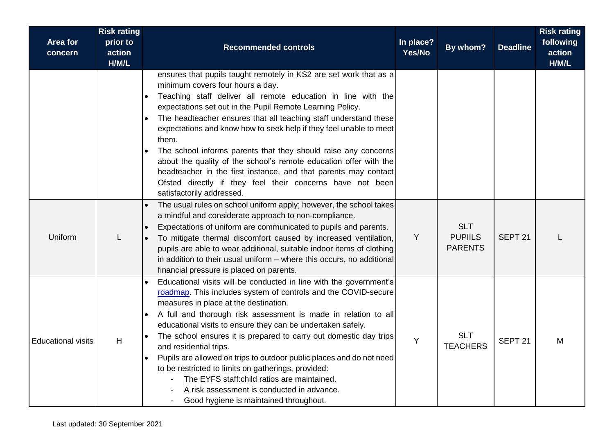| Area for<br>concern       | <b>Risk rating</b><br>prior to<br>action<br>H/M/L | <b>Recommended controls</b>                                                                                                                                                                                                                                                                                                                                                                                                                                                                                                                                                                                                                                                               | In place?<br>Yes/No | By whom?                                       | <b>Deadline</b>    | <b>Risk rating</b><br>following<br>action<br>H/M/L |
|---------------------------|---------------------------------------------------|-------------------------------------------------------------------------------------------------------------------------------------------------------------------------------------------------------------------------------------------------------------------------------------------------------------------------------------------------------------------------------------------------------------------------------------------------------------------------------------------------------------------------------------------------------------------------------------------------------------------------------------------------------------------------------------------|---------------------|------------------------------------------------|--------------------|----------------------------------------------------|
|                           |                                                   | ensures that pupils taught remotely in KS2 are set work that as a<br>minimum covers four hours a day.<br>Teaching staff deliver all remote education in line with the<br>expectations set out in the Pupil Remote Learning Policy.<br>The headteacher ensures that all teaching staff understand these<br>expectations and know how to seek help if they feel unable to meet<br>them.<br>The school informs parents that they should raise any concerns<br>about the quality of the school's remote education offer with the<br>headteacher in the first instance, and that parents may contact<br>Ofsted directly if they feel their concerns have not been<br>satisfactorily addressed. |                     |                                                |                    |                                                    |
| Uniform                   |                                                   | The usual rules on school uniform apply; however, the school takes<br>a mindful and considerate approach to non-compliance.<br>Expectations of uniform are communicated to pupils and parents.<br>To mitigate thermal discomfort caused by increased ventilation,<br>pupils are able to wear additional, suitable indoor items of clothing<br>in addition to their usual uniform - where this occurs, no additional<br>financial pressure is placed on parents.                                                                                                                                                                                                                           | Y                   | <b>SLT</b><br><b>PUPIILS</b><br><b>PARENTS</b> | SEPT <sub>21</sub> |                                                    |
| <b>Educational visits</b> | H                                                 | Educational visits will be conducted in line with the government's<br>roadmap. This includes system of controls and the COVID-secure<br>measures in place at the destination.<br>A full and thorough risk assessment is made in relation to all<br>educational visits to ensure they can be undertaken safely.<br>The school ensures it is prepared to carry out domestic day trips<br>and residential trips.<br>Pupils are allowed on trips to outdoor public places and do not need<br>to be restricted to limits on gatherings, provided:<br>The EYFS staff:child ratios are maintained.<br>A risk assessment is conducted in advance.<br>Good hygiene is maintained throughout.       | Y                   | <b>SLT</b><br><b>TEACHERS</b>                  | SEPT <sub>21</sub> | M                                                  |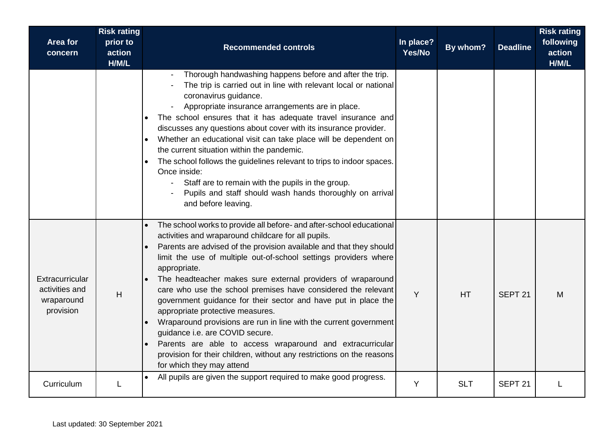| Area for<br>concern                                          | <b>Risk rating</b><br>prior to<br>action<br>H/M/L | <b>Recommended controls</b>                                                                                                                                                                                                                                                                                                                                                                                                                                                                                                                                                                                                                                                                                                                                                                             | In place?<br>Yes/No | By whom?   | <b>Deadline</b>    | <b>Risk rating</b><br>following<br>action<br>H/M/L |
|--------------------------------------------------------------|---------------------------------------------------|---------------------------------------------------------------------------------------------------------------------------------------------------------------------------------------------------------------------------------------------------------------------------------------------------------------------------------------------------------------------------------------------------------------------------------------------------------------------------------------------------------------------------------------------------------------------------------------------------------------------------------------------------------------------------------------------------------------------------------------------------------------------------------------------------------|---------------------|------------|--------------------|----------------------------------------------------|
|                                                              |                                                   | Thorough handwashing happens before and after the trip.<br>The trip is carried out in line with relevant local or national<br>coronavirus guidance.<br>Appropriate insurance arrangements are in place.<br>The school ensures that it has adequate travel insurance and<br>discusses any questions about cover with its insurance provider.<br>Whether an educational visit can take place will be dependent on<br>the current situation within the pandemic.<br>The school follows the guidelines relevant to trips to indoor spaces.<br>Once inside:<br>Staff are to remain with the pupils in the group.<br>Pupils and staff should wash hands thoroughly on arrival<br>and before leaving.                                                                                                          |                     |            |                    |                                                    |
| Extracurricular<br>activities and<br>wraparound<br>provision | H                                                 | The school works to provide all before- and after-school educational<br>activities and wraparound childcare for all pupils.<br>Parents are advised of the provision available and that they should<br>limit the use of multiple out-of-school settings providers where<br>appropriate.<br>The headteacher makes sure external providers of wraparound<br>care who use the school premises have considered the relevant<br>government guidance for their sector and have put in place the<br>appropriate protective measures.<br>Wraparound provisions are run in line with the current government<br>guidance i.e. are COVID secure.<br>Parents are able to access wraparound and extracurricular<br>provision for their children, without any restrictions on the reasons<br>for which they may attend | Y                   | <b>HT</b>  | SEPT <sub>21</sub> | M                                                  |
| Curriculum                                                   |                                                   | All pupils are given the support required to make good progress.                                                                                                                                                                                                                                                                                                                                                                                                                                                                                                                                                                                                                                                                                                                                        | Y                   | <b>SLT</b> | SEPT <sub>21</sub> |                                                    |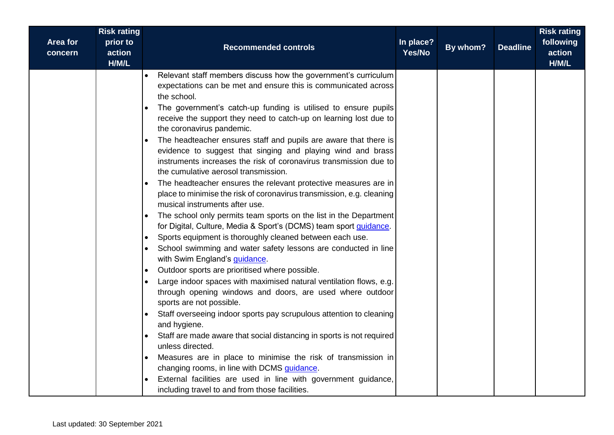| <b>Risk rating</b><br>Area for<br>prior to<br>action<br>concern<br>H/M/L | <b>Recommended controls</b>                                                                                                                                                                                                                                                                                                                                                                                                                                                                                                                                                                                                                                                                                                                                                                                                                                                                                                                                                                                                                                                                                                                                                                                                                                                                                                                                                                                                                                                                                                                                                                                                                                                                                                                                                                                    | In place?<br>Yes/No | By whom? | <b>Deadline</b> | <b>Risk rating</b><br>following<br>action<br>H/M/L |
|--------------------------------------------------------------------------|----------------------------------------------------------------------------------------------------------------------------------------------------------------------------------------------------------------------------------------------------------------------------------------------------------------------------------------------------------------------------------------------------------------------------------------------------------------------------------------------------------------------------------------------------------------------------------------------------------------------------------------------------------------------------------------------------------------------------------------------------------------------------------------------------------------------------------------------------------------------------------------------------------------------------------------------------------------------------------------------------------------------------------------------------------------------------------------------------------------------------------------------------------------------------------------------------------------------------------------------------------------------------------------------------------------------------------------------------------------------------------------------------------------------------------------------------------------------------------------------------------------------------------------------------------------------------------------------------------------------------------------------------------------------------------------------------------------------------------------------------------------------------------------------------------------|---------------------|----------|-----------------|----------------------------------------------------|
|                                                                          | Relevant staff members discuss how the government's curriculum<br>expectations can be met and ensure this is communicated across<br>the school.<br>The government's catch-up funding is utilised to ensure pupils<br>$\bullet$<br>receive the support they need to catch-up on learning lost due to<br>the coronavirus pandemic.<br>The headteacher ensures staff and pupils are aware that there is<br>$\bullet$<br>evidence to suggest that singing and playing wind and brass<br>instruments increases the risk of coronavirus transmission due to<br>the cumulative aerosol transmission.<br>The headteacher ensures the relevant protective measures are in<br>place to minimise the risk of coronavirus transmission, e.g. cleaning<br>musical instruments after use.<br>The school only permits team sports on the list in the Department<br>$\bullet$<br>for Digital, Culture, Media & Sport's (DCMS) team sport <i>guidance</i> .<br>Sports equipment is thoroughly cleaned between each use.<br>School swimming and water safety lessons are conducted in line<br>with Swim England's <i>guidance</i> .<br>Outdoor sports are prioritised where possible.<br>$\bullet$<br>Large indoor spaces with maximised natural ventilation flows, e.g.<br>$\bullet$<br>through opening windows and doors, are used where outdoor<br>sports are not possible.<br>Staff overseeing indoor sports pay scrupulous attention to cleaning<br>$\bullet$<br>and hygiene.<br>Staff are made aware that social distancing in sports is not required<br>$\bullet$<br>unless directed.<br>Measures are in place to minimise the risk of transmission in<br>changing rooms, in line with DCMS guidance.<br>External facilities are used in line with government guidance,<br>including travel to and from those facilities. |                     |          |                 |                                                    |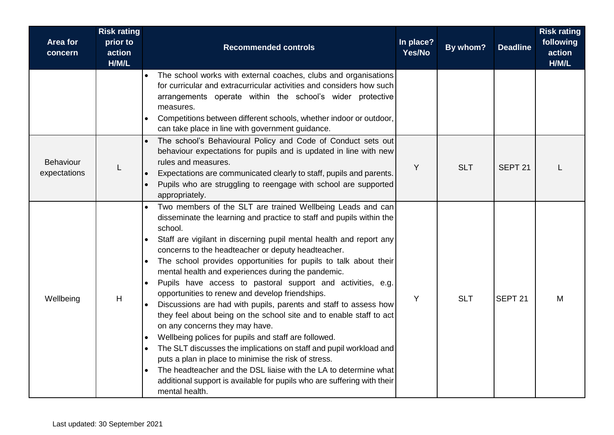| <b>Area for</b><br>concern       | <b>Risk rating</b><br>prior to<br>action<br>H/M/L | <b>Recommended controls</b>                                                                                                                                                                                                                                                                                                                                                                                                                                                                                                                                                                                                                                                                                                                                                                                                                                                                                                                                                                                                                                | In place?<br>Yes/No | By whom?   | <b>Deadline</b>    | <b>Risk rating</b><br>following<br>action<br>H/M/L |
|----------------------------------|---------------------------------------------------|------------------------------------------------------------------------------------------------------------------------------------------------------------------------------------------------------------------------------------------------------------------------------------------------------------------------------------------------------------------------------------------------------------------------------------------------------------------------------------------------------------------------------------------------------------------------------------------------------------------------------------------------------------------------------------------------------------------------------------------------------------------------------------------------------------------------------------------------------------------------------------------------------------------------------------------------------------------------------------------------------------------------------------------------------------|---------------------|------------|--------------------|----------------------------------------------------|
|                                  |                                                   | The school works with external coaches, clubs and organisations<br>for curricular and extracurricular activities and considers how such<br>arrangements operate within the school's wider protective<br>measures.<br>Competitions between different schools, whether indoor or outdoor,<br>can take place in line with government guidance.                                                                                                                                                                                                                                                                                                                                                                                                                                                                                                                                                                                                                                                                                                                |                     |            |                    |                                                    |
| <b>Behaviour</b><br>expectations |                                                   | The school's Behavioural Policy and Code of Conduct sets out<br>behaviour expectations for pupils and is updated in line with new<br>rules and measures.<br>Expectations are communicated clearly to staff, pupils and parents.<br>Pupils who are struggling to reengage with school are supported<br>appropriately.                                                                                                                                                                                                                                                                                                                                                                                                                                                                                                                                                                                                                                                                                                                                       | Y                   | <b>SLT</b> | SEPT <sub>21</sub> |                                                    |
| Wellbeing                        | H                                                 | Two members of the SLT are trained Wellbeing Leads and can<br>disseminate the learning and practice to staff and pupils within the<br>school.<br>Staff are vigilant in discerning pupil mental health and report any<br>concerns to the headteacher or deputy headteacher.<br>The school provides opportunities for pupils to talk about their<br>mental health and experiences during the pandemic.<br>Pupils have access to pastoral support and activities, e.g.<br>opportunities to renew and develop friendships.<br>Discussions are had with pupils, parents and staff to assess how<br>they feel about being on the school site and to enable staff to act<br>on any concerns they may have.<br>Wellbeing polices for pupils and staff are followed.<br>The SLT discusses the implications on staff and pupil workload and<br>puts a plan in place to minimise the risk of stress.<br>The headteacher and the DSL liaise with the LA to determine what<br>additional support is available for pupils who are suffering with their<br>mental health. | Y                   | <b>SLT</b> | SEPT <sub>21</sub> | M                                                  |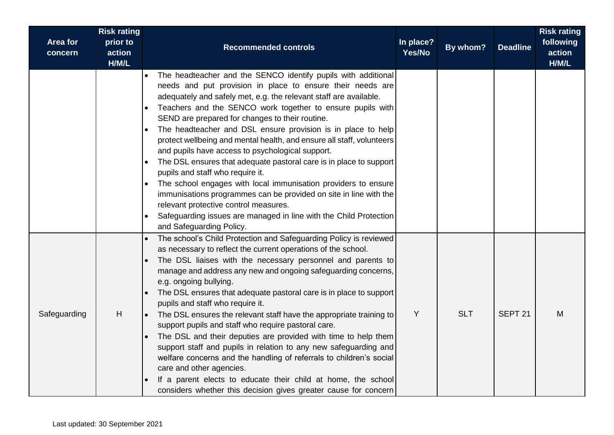| <b>Area for</b><br>concern | <b>Risk rating</b><br>prior to<br>action<br>H/M/L | <b>Recommended controls</b>                                                                                                                                                                                                                                                                                                                                                                                                                                                                                                                                                                                                                                                                                                                                                                                                                                                                                       | In place?<br>Yes/No | By whom?   | <b>Deadline</b>    | <b>Risk rating</b><br>following<br>action<br>H/M/L |
|----------------------------|---------------------------------------------------|-------------------------------------------------------------------------------------------------------------------------------------------------------------------------------------------------------------------------------------------------------------------------------------------------------------------------------------------------------------------------------------------------------------------------------------------------------------------------------------------------------------------------------------------------------------------------------------------------------------------------------------------------------------------------------------------------------------------------------------------------------------------------------------------------------------------------------------------------------------------------------------------------------------------|---------------------|------------|--------------------|----------------------------------------------------|
|                            |                                                   | The headteacher and the SENCO identify pupils with additional<br>needs and put provision in place to ensure their needs are<br>adequately and safely met, e.g. the relevant staff are available.<br>Teachers and the SENCO work together to ensure pupils with<br>SEND are prepared for changes to their routine.<br>The headteacher and DSL ensure provision is in place to help<br>protect wellbeing and mental health, and ensure all staff, volunteers<br>and pupils have access to psychological support.<br>The DSL ensures that adequate pastoral care is in place to support<br>pupils and staff who require it.<br>The school engages with local immunisation providers to ensure<br>immunisations programmes can be provided on site in line with the<br>relevant protective control measures.<br>Safeguarding issues are managed in line with the Child Protection<br>and Safeguarding Policy.         |                     |            |                    |                                                    |
| Safeguarding               | H                                                 | The school's Child Protection and Safeguarding Policy is reviewed<br>as necessary to reflect the current operations of the school.<br>The DSL liaises with the necessary personnel and parents to<br>manage and address any new and ongoing safeguarding concerns,<br>e.g. ongoing bullying.<br>The DSL ensures that adequate pastoral care is in place to support<br>pupils and staff who require it.<br>The DSL ensures the relevant staff have the appropriate training to<br>support pupils and staff who require pastoral care.<br>The DSL and their deputies are provided with time to help them<br>support staff and pupils in relation to any new safeguarding and<br>welfare concerns and the handling of referrals to children's social<br>care and other agencies.<br>If a parent elects to educate their child at home, the school<br>considers whether this decision gives greater cause for concern | Y                   | <b>SLT</b> | SEPT <sub>21</sub> | M                                                  |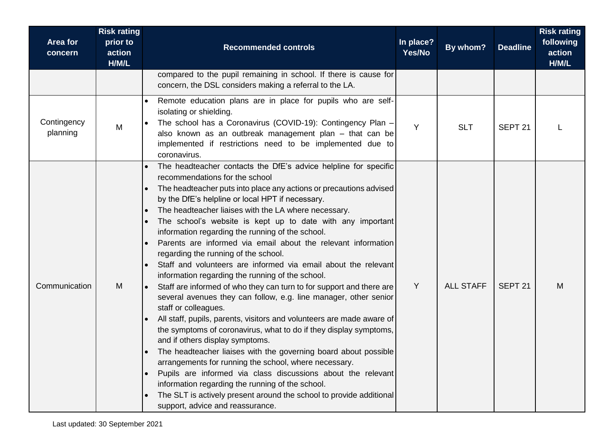| <b>Area for</b><br>concern | <b>Risk rating</b><br>prior to<br>action<br>H/M/L | <b>Recommended controls</b>                                                                                                                                                                                                                                                                                                                                                                                                                                                                                                                                                                                                                                                                                                                                                                                                                                                                                                                                                                                                                                                                                                                                                                                                                                                                                                                          | In place?<br>Yes/No | By whom?         | <b>Deadline</b>    | <b>Risk rating</b><br>following<br>action<br>H/M/L |
|----------------------------|---------------------------------------------------|------------------------------------------------------------------------------------------------------------------------------------------------------------------------------------------------------------------------------------------------------------------------------------------------------------------------------------------------------------------------------------------------------------------------------------------------------------------------------------------------------------------------------------------------------------------------------------------------------------------------------------------------------------------------------------------------------------------------------------------------------------------------------------------------------------------------------------------------------------------------------------------------------------------------------------------------------------------------------------------------------------------------------------------------------------------------------------------------------------------------------------------------------------------------------------------------------------------------------------------------------------------------------------------------------------------------------------------------------|---------------------|------------------|--------------------|----------------------------------------------------|
|                            |                                                   | compared to the pupil remaining in school. If there is cause for<br>concern, the DSL considers making a referral to the LA.                                                                                                                                                                                                                                                                                                                                                                                                                                                                                                                                                                                                                                                                                                                                                                                                                                                                                                                                                                                                                                                                                                                                                                                                                          |                     |                  |                    |                                                    |
| Contingency<br>planning    | M                                                 | Remote education plans are in place for pupils who are self-<br>isolating or shielding.<br>The school has a Coronavirus (COVID-19): Contingency Plan -<br>also known as an outbreak management plan - that can be<br>implemented if restrictions need to be implemented due to<br>coronavirus.                                                                                                                                                                                                                                                                                                                                                                                                                                                                                                                                                                                                                                                                                                                                                                                                                                                                                                                                                                                                                                                       | Y                   | <b>SLT</b>       | SEPT <sub>21</sub> |                                                    |
| Communication              | M                                                 | The headteacher contacts the DfE's advice helpline for specific<br>recommendations for the school<br>The headteacher puts into place any actions or precautions advised<br>by the DfE's helpline or local HPT if necessary.<br>The headteacher liaises with the LA where necessary.<br>The school's website is kept up to date with any important<br>information regarding the running of the school.<br>Parents are informed via email about the relevant information<br>regarding the running of the school.<br>Staff and volunteers are informed via email about the relevant<br>information regarding the running of the school.<br>Staff are informed of who they can turn to for support and there are<br>several avenues they can follow, e.g. line manager, other senior<br>staff or colleagues.<br>All staff, pupils, parents, visitors and volunteers are made aware of<br>the symptoms of coronavirus, what to do if they display symptoms,<br>and if others display symptoms.<br>The headteacher liaises with the governing board about possible<br>arrangements for running the school, where necessary.<br>Pupils are informed via class discussions about the relevant<br>information regarding the running of the school.<br>The SLT is actively present around the school to provide additional<br>support, advice and reassurance. | Y                   | <b>ALL STAFF</b> | SEPT <sub>21</sub> | M                                                  |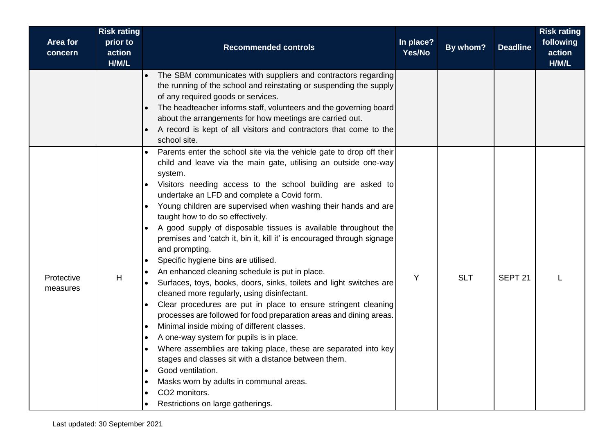| Area for<br>concern    | <b>Risk rating</b><br>prior to<br>action<br>H/M/L | <b>Recommended controls</b>                                                                                                                                                                                                                                                                                                                                                                                                                                                                                                                                                                                                                                                                                                                                                                                                                                                                                                                                                                                                                                                                                                                                                                                                                                                                                                                                                                           | In place?<br>Yes/No | By whom?   | <b>Deadline</b>    | <b>Risk rating</b><br>following<br>action<br>H/M/L |
|------------------------|---------------------------------------------------|-------------------------------------------------------------------------------------------------------------------------------------------------------------------------------------------------------------------------------------------------------------------------------------------------------------------------------------------------------------------------------------------------------------------------------------------------------------------------------------------------------------------------------------------------------------------------------------------------------------------------------------------------------------------------------------------------------------------------------------------------------------------------------------------------------------------------------------------------------------------------------------------------------------------------------------------------------------------------------------------------------------------------------------------------------------------------------------------------------------------------------------------------------------------------------------------------------------------------------------------------------------------------------------------------------------------------------------------------------------------------------------------------------|---------------------|------------|--------------------|----------------------------------------------------|
|                        |                                                   | The SBM communicates with suppliers and contractors regarding<br>$\bullet$<br>the running of the school and reinstating or suspending the supply<br>of any required goods or services.<br>The headteacher informs staff, volunteers and the governing board<br>about the arrangements for how meetings are carried out.<br>A record is kept of all visitors and contractors that come to the<br>school site.                                                                                                                                                                                                                                                                                                                                                                                                                                                                                                                                                                                                                                                                                                                                                                                                                                                                                                                                                                                          |                     |            |                    |                                                    |
| Protective<br>measures | Н                                                 | Parents enter the school site via the vehicle gate to drop off their<br>child and leave via the main gate, utilising an outside one-way<br>system.<br>Visitors needing access to the school building are asked to<br>$\bullet$<br>undertake an LFD and complete a Covid form.<br>Young children are supervised when washing their hands and are<br>$\bullet$<br>taught how to do so effectively.<br>A good supply of disposable tissues is available throughout the<br>$\bullet$<br>premises and 'catch it, bin it, kill it' is encouraged through signage<br>and prompting.<br>Specific hygiene bins are utilised.<br>$\bullet$<br>An enhanced cleaning schedule is put in place.<br>$\bullet$<br>Surfaces, toys, books, doors, sinks, toilets and light switches are<br>cleaned more regularly, using disinfectant.<br>Clear procedures are put in place to ensure stringent cleaning<br>$\bullet$<br>processes are followed for food preparation areas and dining areas.<br>Minimal inside mixing of different classes.<br>$\bullet$<br>A one-way system for pupils is in place.<br>$\bullet$<br>Where assemblies are taking place, these are separated into key<br>stages and classes sit with a distance between them.<br>Good ventilation.<br>$\bullet$<br>Masks worn by adults in communal areas.<br>$\bullet$<br>CO2 monitors.<br>$\bullet$<br>Restrictions on large gatherings.<br>$\bullet$ | Y                   | <b>SLT</b> | SEPT <sub>21</sub> |                                                    |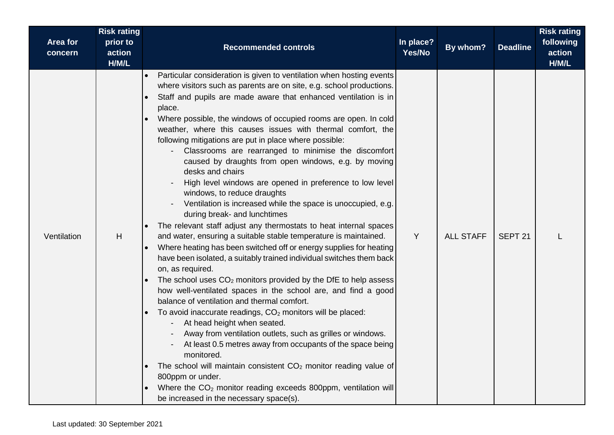| Area for<br>concern | <b>Risk rating</b><br>prior to<br>action<br>H/M/L | <b>Recommended controls</b>                                                                                                                                                                                                                                                                                                                                                                                                                                                                                                                                                                                                                                                                                                                                                                                                                                                                                                                                                                                                                                                                                                                                                                                                                                                                                                                                                                                                                                                                                                                                                                                                                                                                                      | In place?<br>Yes/No | By whom?         | <b>Deadline</b>    | <b>Risk rating</b><br>following<br>action<br>H/M/L |
|---------------------|---------------------------------------------------|------------------------------------------------------------------------------------------------------------------------------------------------------------------------------------------------------------------------------------------------------------------------------------------------------------------------------------------------------------------------------------------------------------------------------------------------------------------------------------------------------------------------------------------------------------------------------------------------------------------------------------------------------------------------------------------------------------------------------------------------------------------------------------------------------------------------------------------------------------------------------------------------------------------------------------------------------------------------------------------------------------------------------------------------------------------------------------------------------------------------------------------------------------------------------------------------------------------------------------------------------------------------------------------------------------------------------------------------------------------------------------------------------------------------------------------------------------------------------------------------------------------------------------------------------------------------------------------------------------------------------------------------------------------------------------------------------------------|---------------------|------------------|--------------------|----------------------------------------------------|
| Ventilation         | H                                                 | Particular consideration is given to ventilation when hosting events<br>where visitors such as parents are on site, e.g. school productions.<br>Staff and pupils are made aware that enhanced ventilation is in<br>place.<br>Where possible, the windows of occupied rooms are open. In cold<br>weather, where this causes issues with thermal comfort, the<br>following mitigations are put in place where possible:<br>Classrooms are rearranged to minimise the discomfort<br>caused by draughts from open windows, e.g. by moving<br>desks and chairs<br>High level windows are opened in preference to low level<br>windows, to reduce draughts<br>Ventilation is increased while the space is unoccupied, e.g.<br>during break- and lunchtimes<br>The relevant staff adjust any thermostats to heat internal spaces<br>and water, ensuring a suitable stable temperature is maintained.<br>Where heating has been switched off or energy supplies for heating<br>have been isolated, a suitably trained individual switches them back<br>on, as required.<br>The school uses $CO2$ monitors provided by the DfE to help assess<br>how well-ventilated spaces in the school are, and find a good<br>balance of ventilation and thermal comfort.<br>To avoid inaccurate readings, $CO2$ monitors will be placed:<br>At head height when seated.<br>Away from ventilation outlets, such as grilles or windows.<br>At least 0.5 metres away from occupants of the space being<br>monitored.<br>The school will maintain consistent $CO2$ monitor reading value of<br>800ppm or under.<br>Where the CO <sub>2</sub> monitor reading exceeds 800ppm, ventilation will<br>be increased in the necessary space(s). | Y                   | <b>ALL STAFF</b> | SEPT <sub>21</sub> |                                                    |